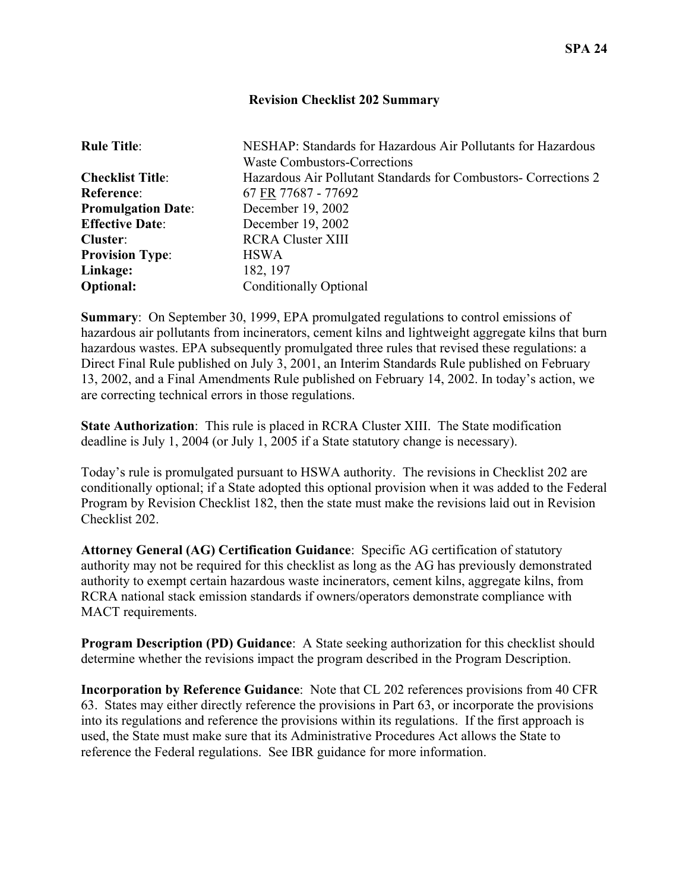## **Revision Checklist 202 Summary**

| <b>Rule Title:</b>        | NESHAP: Standards for Hazardous Air Pollutants for Hazardous    |
|---------------------------|-----------------------------------------------------------------|
|                           | Waste Combustors-Corrections                                    |
| <b>Checklist Title:</b>   | Hazardous Air Pollutant Standards for Combustors- Corrections 2 |
| Reference:                | 67 FR 77687 - 77692                                             |
| <b>Promulgation Date:</b> | December 19, 2002                                               |
| <b>Effective Date:</b>    | December 19, 2002                                               |
| Cluster:                  | <b>RCRA Cluster XIII</b>                                        |
| <b>Provision Type:</b>    | <b>HSWA</b>                                                     |
| Linkage:                  | 182, 197                                                        |
| <b>Optional:</b>          | <b>Conditionally Optional</b>                                   |

**Summary**: On September 30, 1999, EPA promulgated regulations to control emissions of hazardous air pollutants from incinerators, cement kilns and lightweight aggregate kilns that burn hazardous wastes. EPA subsequently promulgated three rules that revised these regulations: a Direct Final Rule published on July 3, 2001, an Interim Standards Rule published on February 13, 2002, and a Final Amendments Rule published on February 14, 2002. In today's action, we are correcting technical errors in those regulations.

**State Authorization**: This rule is placed in RCRA Cluster XIII. The State modification deadline is July 1, 2004 (or July 1, 2005 if a State statutory change is necessary).

Today's rule is promulgated pursuant to HSWA authority. The revisions in Checklist 202 are conditionally optional; if a State adopted this optional provision when it was added to the Federal Program by Revision Checklist 182, then the state must make the revisions laid out in Revision Checklist 202.

**Attorney General (AG) Certification Guidance**: Specific AG certification of statutory authority may not be required for this checklist as long as the AG has previously demonstrated authority to exempt certain hazardous waste incinerators, cement kilns, aggregate kilns, from RCRA national stack emission standards if owners/operators demonstrate compliance with MACT requirements.

**Program Description (PD) Guidance**: A State seeking authorization for this checklist should determine whether the revisions impact the program described in the Program Description.

**Incorporation by Reference Guidance**: Note that CL 202 references provisions from 40 CFR 63. States may either directly reference the provisions in Part 63, or incorporate the provisions into its regulations and reference the provisions within its regulations. If the first approach is used, the State must make sure that its Administrative Procedures Act allows the State to reference the Federal regulations. See IBR guidance for more information.